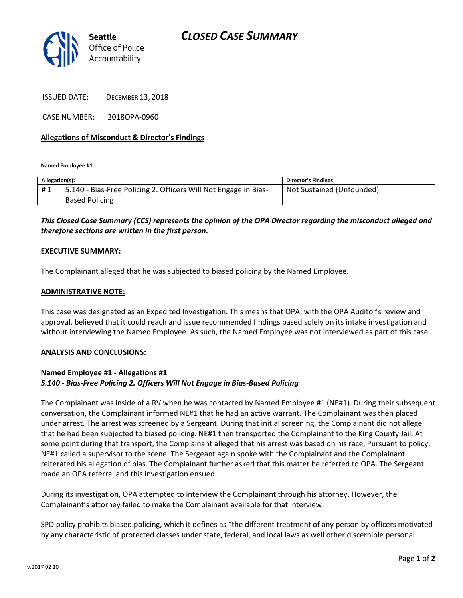

ISSUED DATE: DECEMBER 13, 2018

CASE NUMBER: 2018OPA-0960

## Allegations of Misconduct & Director's Findings

Named Employee #1

| Allegation(s): |                                                                 | <b>Director's Findings</b> |
|----------------|-----------------------------------------------------------------|----------------------------|
| #1             | 5.140 - Bias-Free Policing 2. Officers Will Not Engage in Bias- | Not Sustained (Unfounded)  |
|                | <b>Based Policing</b>                                           |                            |

# This Closed Case Summary (CCS) represents the opinion of the OPA Director regarding the misconduct alleged and therefore sections are written in the first person.

#### EXECUTIVE SUMMARY:

The Complainant alleged that he was subjected to biased policing by the Named Employee.

#### ADMINISTRATIVE NOTE:

This case was designated as an Expedited Investigation. This means that OPA, with the OPA Auditor's review and approval, believed that it could reach and issue recommended findings based solely on its intake investigation and without interviewing the Named Employee. As such, the Named Employee was not interviewed as part of this case.

#### ANALYSIS AND CONCLUSIONS:

## Named Employee #1 - Allegations #1 5.140 - Bias-Free Policing 2. Officers Will Not Engage in Bias-Based Policing

The Complainant was inside of a RV when he was contacted by Named Employee #1 (NE#1). During their subsequent conversation, the Complainant informed NE#1 that he had an active warrant. The Complainant was then placed under arrest. The arrest was screened by a Sergeant. During that initial screening, the Complainant did not allege that he had been subjected to biased policing. NE#1 then transported the Complainant to the King County Jail. At some point during that transport, the Complainant alleged that his arrest was based on his race. Pursuant to policy, NE#1 called a supervisor to the scene. The Sergeant again spoke with the Complainant and the Complainant reiterated his allegation of bias. The Complainant further asked that this matter be referred to OPA. The Sergeant made an OPA referral and this investigation ensued.

During its investigation, OPA attempted to interview the Complainant through his attorney. However, the Complainant's attorney failed to make the Complainant available for that interview.

SPD policy prohibits biased policing, which it defines as "the different treatment of any person by officers motivated by any characteristic of protected classes under state, federal, and local laws as well other discernible personal